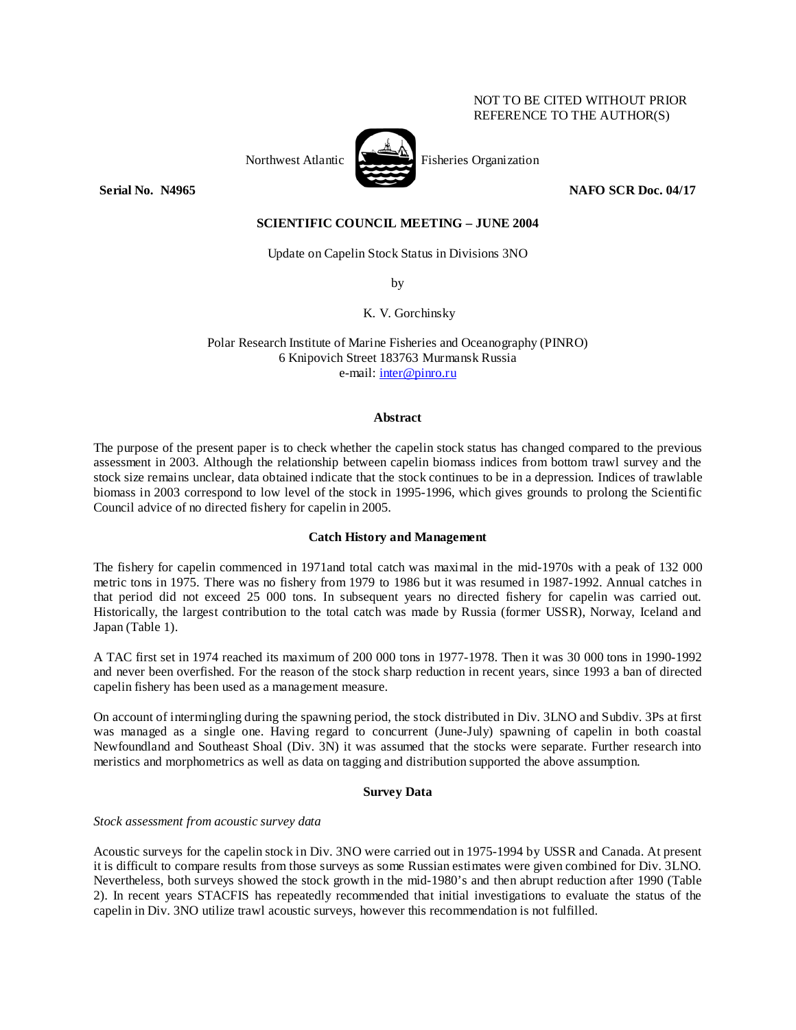# NOT TO BE CITED WITHOUT PRIOR REFERENCE TO THE AUTHOR(S)



Northwest Atlantic Fisheries Organization

**Serial No. N4965** NAFO SCR Doc. 04/17

# **SCIENTIFIC COUNCIL MEETING – JUNE 2004**

Update on Capelin Stock Status in Divisions 3NO

by

K. V. Gorchinsky

Polar Research Institute of Marine Fisheries and Oceanography (PINRO) 6 Knipovich Street 183763 Murmansk Russia e-mail: inter@pinro.ru

### **Abstract**

The purpose of the present paper is to check whether the capelin stock status has changed compared to the previous assessment in 2003. Although the relationship between capelin biomass indices from bottom trawl survey and the stock size remains unclear, data obtained indicate that the stock continues to be in a depression. Indices of trawlable biomass in 2003 correspond to low level of the stock in 1995-1996, which gives grounds to prolong the Scientific Council advice of no directed fishery for capelin in 2005.

## **Catch History and Management**

The fishery for capelin commenced in 1971and total catch was maximal in the mid-1970s with a peak of 132 000 metric tons in 1975. There was no fishery from 1979 to 1986 but it was resumed in 1987-1992. Annual catches in that period did not exceed 25 000 tons. In subsequent years no directed fishery for capelin was carried out. Historically, the largest contribution to the total catch was made by Russia (former USSR), Norway, Iceland and Japan (Table 1).

A TAC first set in 1974 reached its maximum of 200 000 tons in 1977-1978. Then it was 30 000 tons in 1990-1992 and never been overfished. For the reason of the stock sharp reduction in recent years, since 1993 a ban of directed capelin fishery has been used as a management measure.

On account of intermingling during the spawning period, the stock distributed in Div. 3LNO and Subdiv. 3Ps at first was managed as a single one. Having regard to concurrent (June-July) spawning of capelin in both coastal Newfoundland and Southeast Shoal (Div. 3N) it was assumed that the stocks were separate. Further research into meristics and morphometrics as well as data on tagging and distribution supported the above assumption.

## **Survey Data**

## *Stock assessment from acoustic survey data*

Acoustic surveys for the capelin stock in Div. 3NO were carried out in 1975-1994 by USSR and Canada. At present it is difficult to compare results from those surveys as some Russian estimates were given combined for Div. 3LNO. Nevertheless, both surveys showed the stock growth in the mid-1980's and then abrupt reduction after 1990 (Table 2). In recent years STACFIS has repeatedly recommended that initial investigations to evaluate the status of the capelin in Div. 3NO utilize trawl acoustic surveys, however this recommendation is not fulfilled.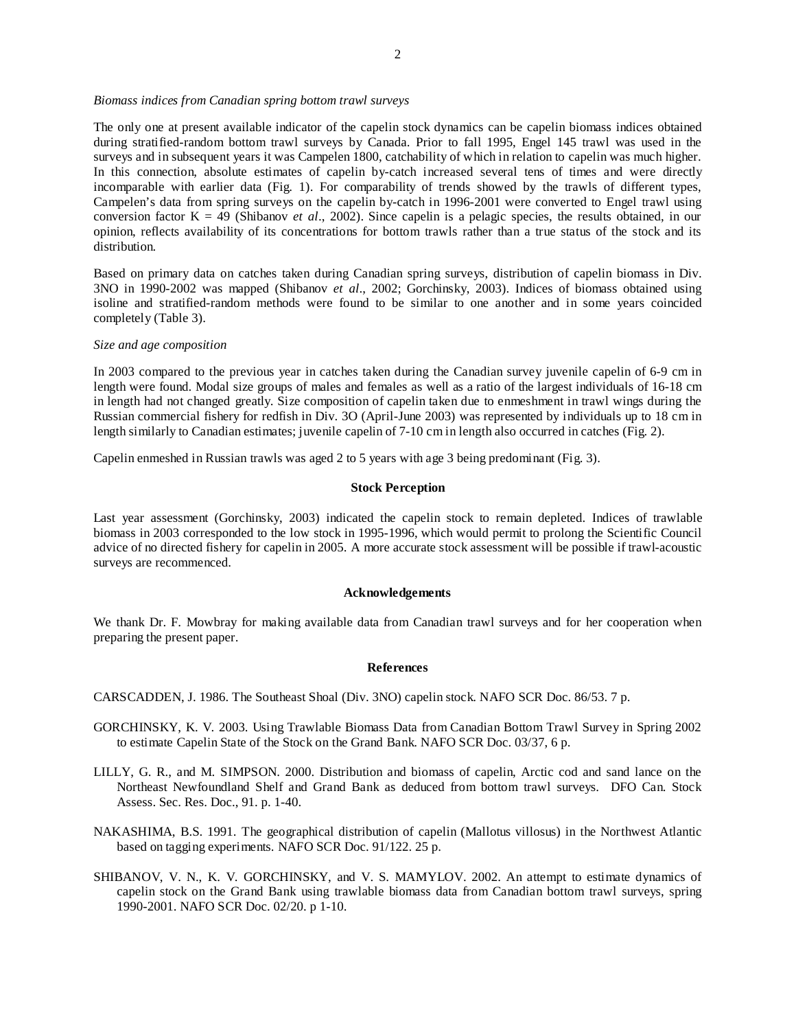#### *Biomass indices from Canadian spring bottom trawl surveys*

The only one at present available indicator of the capelin stock dynamics can be capelin biomass indices obtained during stratified-random bottom trawl surveys by Canada. Prior to fall 1995, Engel 145 trawl was used in the surveys and in subsequent years it was Campelen 1800, catchability of which in relation to capelin was much higher. In this connection, absolute estimates of capelin by-catch increased several tens of times and were directly incomparable with earlier data (Fig. 1). For comparability of trends showed by the trawls of different types, Campelen's data from spring surveys on the capelin by-catch in 1996-2001 were converted to Engel trawl using conversion factor K = 49 (Shibanov *et al*., 2002). Since capelin is a pelagic species, the results obtained, in our opinion, reflects availability of its concentrations for bottom trawls rather than a true status of the stock and its distribution.

Based on primary data on catches taken during Canadian spring surveys, distribution of capelin biomass in Div. 3NO in 1990-2002 was mapped (Shibanov *et al*., 2002; Gorchinsky, 2003). Indices of biomass obtained using isoline and stratified-random methods were found to be similar to one another and in some years coincided completely (Table 3).

### *Size and age composition*

In 2003 compared to the previous year in catches taken during the Canadian survey juvenile capelin of 6-9 cm in length were found. Modal size groups of males and females as well as a ratio of the largest individuals of 16-18 cm in length had not changed greatly. Size composition of capelin taken due to enmeshment in trawl wings during the Russian commercial fishery for redfish in Div. 3O (April-June 2003) was represented by individuals up to 18 cm in length similarly to Canadian estimates; juvenile capelin of 7-10 cm in length also occurred in catches (Fig. 2).

Capelin enmeshed in Russian trawls was aged 2 to 5 years with age 3 being predominant (Fig. 3).

## **Stock Perception**

Last year assessment (Gorchinsky, 2003) indicated the capelin stock to remain depleted. Indices of trawlable biomass in 2003 corresponded to the low stock in 1995-1996, which would permit to prolong the Scientific Council advice of no directed fishery for capelin in 2005. A more accurate stock assessment will be possible if trawl-acoustic surveys are recommenced.

#### **Acknowledgements**

We thank Dr. F. Mowbray for making available data from Canadian trawl surveys and for her cooperation when preparing the present paper.

#### **References**

CARSCADDEN, J. 1986. The Southeast Shoal (Div. 3NO) capelin stock. NAFO SCR Doc. 86/53. 7 p.

- GORCHINSKY, K. V. 2003. Using Trawlable Biomass Data from Canadian Bottom Trawl Survey in Spring 2002 to estimate Capelin State of the Stock on the Grand Bank. NAFO SCR Doc. 03/37, 6 p.
- LILLY, G. R., and M. SIMPSON. 2000. Distribution and biomass of capelin, Arctic cod and sand lance on the Northeast Newfoundland Shelf and Grand Bank as deduced from bottom trawl surveys. DFO Can. Stock Assess. Sec. Res. Doc., 91. p. 1-40.
- NAKASHIMA, B.S. 1991. The geographical distribution of capelin (Mallotus villosus) in the Northwest Atlantic based on tagging experiments. NAFO SCR Doc. 91/122. 25 p.
- SHIBANOV, V. N., K. V. GORCHINSKY, and V. S. MAMYLOV. 2002. An attempt to estimate dynamics of capelin stock on the Grand Bank using trawlable biomass data from Canadian bottom trawl surveys, spring 1990-2001. NAFO SCR Doc. 02/20. p 1-10.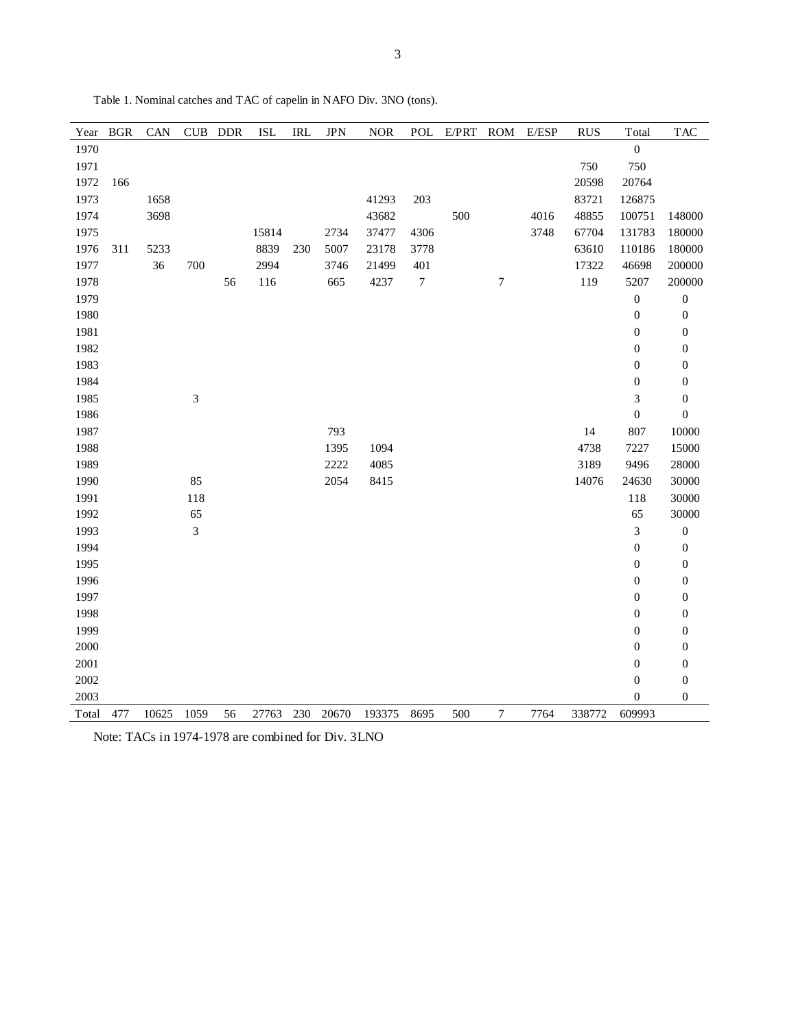| Year  | <b>BGR</b> | CAN   |      | CUB DDR | <b>ISL</b> | <b>IRL</b> | <b>JPN</b> | <b>NOR</b> | POL              | E/PRT | <b>ROM</b>       | E/ESP | <b>RUS</b> | Total                       | <b>TAC</b>       |
|-------|------------|-------|------|---------|------------|------------|------------|------------|------------------|-------|------------------|-------|------------|-----------------------------|------------------|
| 1970  |            |       |      |         |            |            |            |            |                  |       |                  |       |            | $\boldsymbol{0}$            |                  |
| 1971  |            |       |      |         |            |            |            |            |                  |       |                  |       | 750        | 750                         |                  |
| 1972  | 166        |       |      |         |            |            |            |            |                  |       |                  |       | 20598      | 20764                       |                  |
| 1973  |            | 1658  |      |         |            |            |            | 41293      | 203              |       |                  |       | 83721      | 126875                      |                  |
| 1974  |            | 3698  |      |         |            |            |            | 43682      |                  | 500   |                  | 4016  | 48855      | 100751                      | 148000           |
| 1975  |            |       |      |         | 15814      |            | 2734       | 37477      | 4306             |       |                  | 3748  | 67704      | 131783                      | 180000           |
| 1976  | 311        | 5233  |      |         | 8839       | 230        | 5007       | 23178      | 3778             |       |                  |       | 63610      | 110186                      | 180000           |
| 1977  |            | 36    | 700  |         | 2994       |            | 3746       | 21499      | 401              |       |                  |       | 17322      | 46698                       | 200000           |
| 1978  |            |       |      | 56      | 116        |            | 665        | 4237       | $\boldsymbol{7}$ |       | $\boldsymbol{7}$ |       | 119        | 5207                        | 200000           |
| 1979  |            |       |      |         |            |            |            |            |                  |       |                  |       |            | $\boldsymbol{0}$            | $\boldsymbol{0}$ |
| 1980  |            |       |      |         |            |            |            |            |                  |       |                  |       |            | $\boldsymbol{0}$            | $\boldsymbol{0}$ |
| 1981  |            |       |      |         |            |            |            |            |                  |       |                  |       |            | $\boldsymbol{0}$            | $\boldsymbol{0}$ |
| 1982  |            |       |      |         |            |            |            |            |                  |       |                  |       |            | $\boldsymbol{0}$            | $\boldsymbol{0}$ |
| 1983  |            |       |      |         |            |            |            |            |                  |       |                  |       |            | $\boldsymbol{0}$            | $\boldsymbol{0}$ |
| 1984  |            |       |      |         |            |            |            |            |                  |       |                  |       |            | $\boldsymbol{0}$            | $\boldsymbol{0}$ |
| 1985  |            |       | 3    |         |            |            |            |            |                  |       |                  |       |            | $\ensuremath{\mathfrak{Z}}$ | $\boldsymbol{0}$ |
| 1986  |            |       |      |         |            |            |            |            |                  |       |                  |       |            | $\boldsymbol{0}$            | $\boldsymbol{0}$ |
| 1987  |            |       |      |         |            |            | 793        |            |                  |       |                  |       | 14         | 807                         | 10000            |
| 1988  |            |       |      |         |            |            | 1395       | 1094       |                  |       |                  |       | 4738       | 7227                        | 15000            |
| 1989  |            |       |      |         |            |            | 2222       | 4085       |                  |       |                  |       | 3189       | 9496                        | 28000            |
| 1990  |            |       | 85   |         |            |            | 2054       | 8415       |                  |       |                  |       | 14076      | 24630                       | 30000            |
| 1991  |            |       | 118  |         |            |            |            |            |                  |       |                  |       |            | 118                         | 30000            |
| 1992  |            |       | 65   |         |            |            |            |            |                  |       |                  |       |            | 65                          | 30000            |
| 1993  |            |       | 3    |         |            |            |            |            |                  |       |                  |       |            | $\mathfrak{Z}$              | $\boldsymbol{0}$ |
| 1994  |            |       |      |         |            |            |            |            |                  |       |                  |       |            | $\boldsymbol{0}$            | $\boldsymbol{0}$ |
| 1995  |            |       |      |         |            |            |            |            |                  |       |                  |       |            | $\boldsymbol{0}$            | $\boldsymbol{0}$ |
| 1996  |            |       |      |         |            |            |            |            |                  |       |                  |       |            | $\boldsymbol{0}$            | $\boldsymbol{0}$ |
| 1997  |            |       |      |         |            |            |            |            |                  |       |                  |       |            | $\boldsymbol{0}$            | $\boldsymbol{0}$ |
| 1998  |            |       |      |         |            |            |            |            |                  |       |                  |       |            | $\boldsymbol{0}$            | $\boldsymbol{0}$ |
| 1999  |            |       |      |         |            |            |            |            |                  |       |                  |       |            | $\boldsymbol{0}$            | $\boldsymbol{0}$ |
| 2000  |            |       |      |         |            |            |            |            |                  |       |                  |       |            | $\boldsymbol{0}$            | $\boldsymbol{0}$ |
| 2001  |            |       |      |         |            |            |            |            |                  |       |                  |       |            | $\boldsymbol{0}$            | $\boldsymbol{0}$ |
| 2002  |            |       |      |         |            |            |            |            |                  |       |                  |       |            | $\boldsymbol{0}$            | $\boldsymbol{0}$ |
| 2003  |            |       |      |         |            |            |            |            |                  |       |                  |       |            | $\boldsymbol{0}$            | $\boldsymbol{0}$ |
| Total | 477        | 10625 | 1059 | 56      | 27763      | 230        | 20670      | 193375     | 8695             | 500   | $\boldsymbol{7}$ | 7764  | 338772     | 609993                      |                  |

Table 1. Nominal catches and TAC of capelin in NAFO Div. 3NO (tons).

Note: TACs in 1974-1978 are combined for Div. 3LNO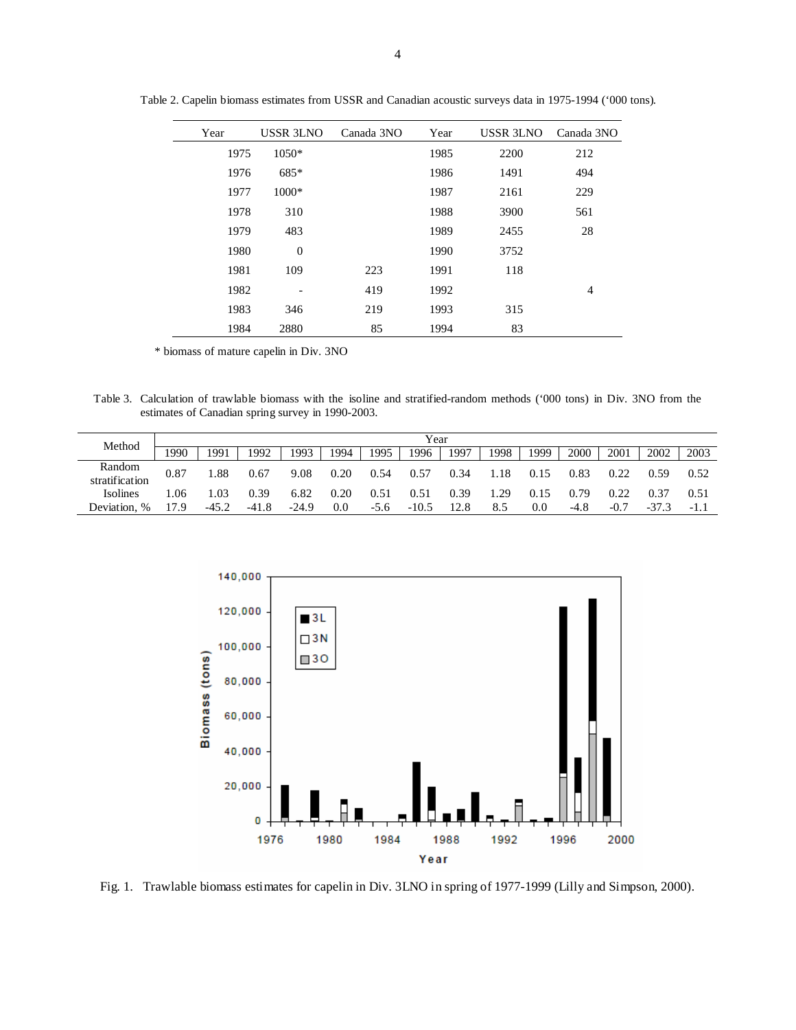| Year | USSR 3LNO        | Canada 3NO | Year | USSR 3LNO | Canada 3NO     |  |
|------|------------------|------------|------|-----------|----------------|--|
| 1975 | 1050*            |            | 1985 | 2200      | 212            |  |
| 1976 | $685*$           |            | 1986 | 1491      | 494            |  |
| 1977 | $1000*$          |            | 1987 | 2161      | 229            |  |
| 1978 | 310              |            | 1988 | 3900      | 561            |  |
| 1979 | 483              |            | 1989 | 2455      | 28             |  |
| 1980 | $\boldsymbol{0}$ |            | 1990 | 3752      |                |  |
| 1981 | 109              | 223        | 1991 | 118       |                |  |
| 1982 |                  | 419        | 1992 |           | $\overline{4}$ |  |
| 1983 | 346              | 219        | 1993 | 315       |                |  |
| 1984 | 2880             | 85         | 1994 | 83        |                |  |

Table 2. Capelin biomass estimates from USSR and Canadian acoustic surveys data in 1975-1994 ('000 tons).

\* biomass of mature capelin in Div. 3NO

Table 3. Calculation of trawlable biomass with the isoline and stratified-random methods ('000 tons) in Div. 3NO from the estimates of Canadian spring survey in 1990-2003.

| Method                      | Year |         |         |         |      |        |         |      |      |         |      |        |         |      |
|-----------------------------|------|---------|---------|---------|------|--------|---------|------|------|---------|------|--------|---------|------|
|                             | !990 | 1991    | 1992    | 1993    | 1994 | 1995   | 1996    | 1997 | 1998 | 1999    | 2000 | 2001   | 2002    | 2003 |
| Random<br>stratification    | 0.87 | 0.88    | 0.67    | 9.08    | 0.20 | 0.54   | 0.57    | 0.34 | 1.18 | 0.15    | 0.83 |        | 0.59    | 0.52 |
| Isolines                    | .06  | .03     | 0.39    | 6.82    | 0.20 | 0.51   | 0.51    | 0.39 | 1.29 | 0.15    | 0.79 |        |         |      |
| Deviation.<br>$\frac{0}{0}$ | l7.9 | $-45.2$ | $-41.8$ | $-24.9$ | 0.0  | $-5.6$ | $-10.5$ |      | 8.5  | $0.0\,$ | -4.8 | $-0.7$ | $-37.3$ | -1.1 |



Fig. 1. Trawlable biomass estimates for capelin in Div. 3LNO in spring of 1977-1999 (Lilly and Simpson, 2000).